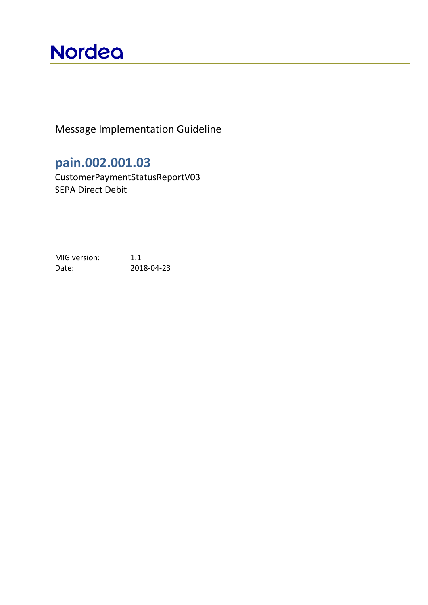# **Nordea**

Message Implementation Guideline

**pain.002.001.03**

CustomerPaymentStatusReportV03 SEPA Direct Debit

MIG version: 1.1 Date: 2018-04-23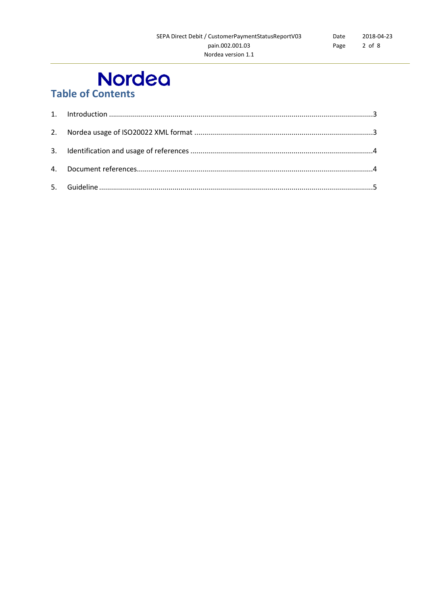# **Nordeo**<br>Table of Contents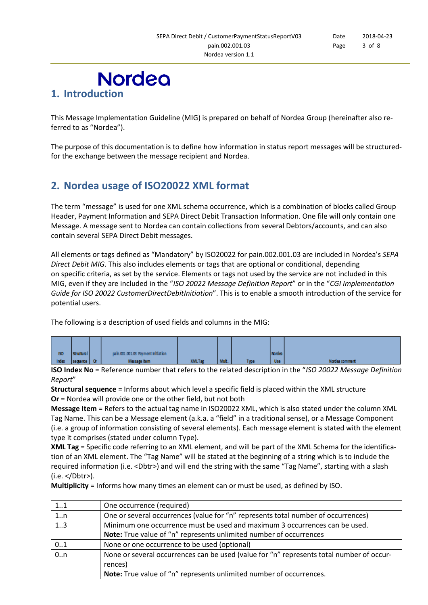<span id="page-2-0"></span>

This Message Implementation Guideline (MIG) is prepared on behalf of Nordea Group (hereinafter also referred to as "Nordea").

The purpose of this documentation is to define how information in status report messages will be structuredfor the exchange between the message recipient and Nordea.

### <span id="page-2-1"></span>**2. Nordea usage of ISO20022 XML format**

The term "message" is used for one XML schema occurrence, which is a combination of blocks called Group Header, Payment Information and SEPA Direct Debit Transaction Information. One file will only contain one Message. A message sent to Nordea can contain collections from several Debtors/accounts, and can also contain several SEPA Direct Debit messages.

All elements or tags defined as "Mandatory" by ISO20022 for pain.002.001.03 are included in Nordea's *SEPA Direct Debit MIG*. This also includes elements or tags that are optional or conditional, depending on specific criteria, as set by the service. Elements or tags not used by the service are not included in this MIG, even if they are included in the "*ISO 20022 Message Definition Report*" or in the "*CGI Implementation Guide for ISO 20022 CustomerDirectDebitInitiation*". This is to enable a smooth introduction of the service for potential users.

The following is a description of used fields and columns in the MIG:

| 150   | Structural  | pain.001.001.03 Payment Initiation |           |      |      | <b>Nordea</b> |                |
|-------|-------------|------------------------------------|-----------|------|------|---------------|----------------|
| index | sequence Or | Message Item                       | XIVIL Tag | wut. | Type | <b>Use</b>    | Nordea comment |

**ISO Index No** = Reference number that refers to the related description in the "*ISO 20022 Message Definition Report*"

**Structural sequence** = Informs about which level a specific field is placed within the XML structure **Or** = Nordea will provide one or the other field, but not both

**Message Item** = Refers to the actual tag name in ISO20022 XML, which is also stated under the column XML Tag Name. This can be a Message element (a.k.a. a "field" in a traditional sense), or a Message Component (i.e. a group of information consisting of several elements). Each message element is stated with the element type it comprises (stated under column Type).

**XML Tag** = Specific code referring to an XML element, and will be part of the XML Schema for the identification of an XML element. The "Tag Name" will be stated at the beginning of a string which is to include the required information (i.e. <Dbtr>) and will end the string with the same "Tag Name", starting with a slash (i.e. </Dbtr>).

**Multiplicity** = Informs how many times an element can or must be used, as defined by ISO.

| 11               | One occurrence (required)                                                                |
|------------------|------------------------------------------------------------------------------------------|
| 1n               | One or several occurrences (value for "n" represents total number of occurrences)        |
| 1.3              | Minimum one occurrence must be used and maximum 3 occurrences can be used.               |
|                  | Note: True value of "n" represents unlimited number of occurrences                       |
| 01               | None or one occurrence to be used (optional)                                             |
| $\overline{0.n}$ | None or several occurrences can be used (value for "n" represents total number of occur- |
|                  | rences)                                                                                  |
|                  | Note: True value of "n" represents unlimited number of occurrences.                      |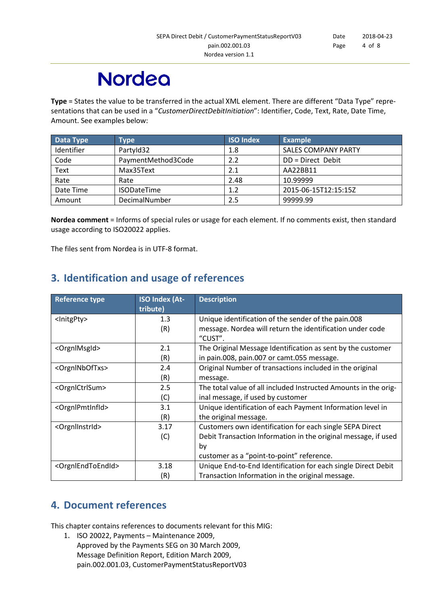# **Nordeo**

**Type** = States the value to be transferred in the actual XML element. There are different "Data Type" representations that can be used in a "*CustomerDirectDebitInitiation*": Identifier, Code, Text, Rate, Date Time, Amount. See examples below:

| Data Type  | Type               | <b>ISO Index</b> | <b>Example</b>             |
|------------|--------------------|------------------|----------------------------|
| Identifier | PartyId32          | 1.8              | <b>SALES COMPANY PARTY</b> |
| Code       | PaymentMethod3Code | 2.2              | DD = Direct Debit          |
| Text       | Max35Text          | 2.1              | AA22BB11                   |
| Rate       | Rate               | 2.48             | 10.99999                   |
| Date Time  | <b>ISODateTime</b> | 1.2              | 2015-06-15T12:15:15Z       |
| Amount     | DecimalNumber      | 2.5              | 99999.99                   |

**Nordea comment** = Informs of special rules or usage for each element. If no comments exist, then standard usage according to ISO20022 applies.

<span id="page-3-0"></span>The files sent from Nordea is in UTF-8 format.

### **3. Identification and usage of references**

| <b>Reference type</b>               | <b>ISO Index (At-</b><br>tribute) | <b>Description</b>                                                   |
|-------------------------------------|-----------------------------------|----------------------------------------------------------------------|
| <lnitgpty></lnitgpty>               | 1.3                               | Unique identification of the sender of the pain.008                  |
|                                     | (R)                               | message. Nordea will return the identification under code<br>"CUST". |
| <orgnlmsgld></orgnlmsgld>           | 2.1                               | The Original Message Identification as sent by the customer          |
|                                     | (R)                               | in pain.008, pain.007 or camt.055 message.                           |
| <orgninboftxs></orgninboftxs>       | 2.4                               | Original Number of transactions included in the original             |
|                                     | (R)                               | message.                                                             |
| <orgnlctrlsum></orgnlctrlsum>       | 2.5                               | The total value of all included Instructed Amounts in the orig-      |
|                                     | (C)                               | inal message, if used by customer                                    |
| <orgnlpmtinfld></orgnlpmtinfld>     | 3.1                               | Unique identification of each Payment Information level in           |
|                                     | (R)                               | the original message.                                                |
| <orgnllnstrid></orgnllnstrid>       | 3.17                              | Customers own identification for each single SEPA Direct             |
|                                     | (C)                               | Debit Transaction Information in the original message, if used       |
|                                     |                                   | by                                                                   |
|                                     |                                   | customer as a "point-to-point" reference.                            |
| <orgnlendtoendid></orgnlendtoendid> | 3.18                              | Unique End-to-End Identification for each single Direct Debit        |
|                                     | (R)                               | Transaction Information in the original message.                     |

### <span id="page-3-1"></span>**4. Document references**

This chapter contains references to documents relevant for this MIG:

1. ISO 20022, Payments – Maintenance 2009, Approved by the Payments SEG on 30 March 2009, Message Definition Report, Edition March 2009, pain.002.001.03, CustomerPaymentStatusReportV03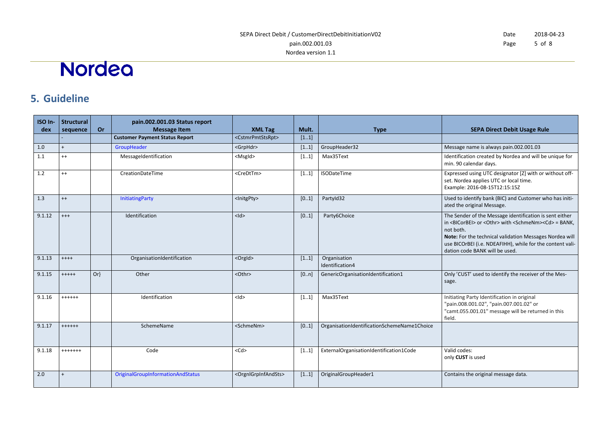#### Date Page 2018-04-23 5 of 8

# Nordea

## **5. Guideline**

<span id="page-4-0"></span>

| ISO In-<br>dex | <b>Structural</b><br>sequence | Or     | pain.002.001.03 Status report<br><b>Message Item</b> | <b>XML Tag</b>                          | Mult. | <b>Type</b>                                 | <b>SEPA Direct Debit Usage Rule</b>                                                                                                                                                                                                                                                                                       |
|----------------|-------------------------------|--------|------------------------------------------------------|-----------------------------------------|-------|---------------------------------------------|---------------------------------------------------------------------------------------------------------------------------------------------------------------------------------------------------------------------------------------------------------------------------------------------------------------------------|
|                |                               |        | <b>Customer Payment Status Report</b>                | <cstmrpmtstsrpt></cstmrpmtstsrpt>       | [11]  |                                             |                                                                                                                                                                                                                                                                                                                           |
| 1.0            | $\ddot{+}$                    |        | GroupHeader                                          | <grphdr></grphdr>                       | [11]  | GroupHeader32                               | Message name is always pain.002.001.03                                                                                                                                                                                                                                                                                    |
| 1.1            | $^{++}$                       |        | MessageIdentification                                | $<$ Msgld $>$                           | [11]  | Max35Text                                   | Identification created by Nordea and will be unique for<br>min. 90 calendar days.                                                                                                                                                                                                                                         |
| 1.2            | $^{++}$                       |        | CreationDateTime                                     | <credttm></credttm>                     | [11]  | <b>ISODateTime</b>                          | Expressed using UTC designator [Z] with or without off-<br>set. Nordea applies UTC or local time.<br>Example: 2016-08-15T12:15:15Z                                                                                                                                                                                        |
| 1.3            | $^{++}$                       |        | <b>InitiatingParty</b>                               | <lnitgpty></lnitgpty>                   | [01]  | PartyId32                                   | Used to identify bank (BIC) and Customer who has initi-<br>ated the original Message.                                                                                                                                                                                                                                     |
| 9.1.12         | $^{++}$                       |        | Identification                                       | $<$ ld>                                 | [01]  | Party6Choice                                | The Sender of the Message identification is sent either<br>in <bicorbei> or <othr> with <schmenm><cd> = BANK,<br/>not both.<br/>Note: For the technical validation Messages Nordea will<br/>use BICOrBEI (i.e. NDEAFIHH), while for the content vali-<br/>dation code BANK will be used.</cd></schmenm></othr></bicorbei> |
| 9.1.13         | $++++$                        |        | OrganisationIdentification                           | <orgld></orgld>                         | [11]  | Organisation<br>Identification4             |                                                                                                                                                                                                                                                                                                                           |
| 9.1.15         | $+++++$                       | $Or\}$ | Other                                                | <othr></othr>                           | [0n]  | GenericOrganisationIdentification1          | Only 'CUST' used to identify the receiver of the Mes-<br>sage.                                                                                                                                                                                                                                                            |
| 9.1.16         | $+++++$                       |        | Identification                                       | $<$ ld>                                 | [11]  | Max35Text                                   | Initiating Party Identification in original<br>"pain.008.001.02", "pain.007.001.02" or<br>"camt.055.001.01" message will be returned in this<br>field.                                                                                                                                                                    |
| 9.1.17         | $+++++$                       |        | SchemeName                                           | <schmenm></schmenm>                     | [01]  | OrganisationIdentificationSchemeName1Choice |                                                                                                                                                                                                                                                                                                                           |
| 9.1.18         | $++++++$                      |        | Code                                                 | $<$ Cd $>$                              | [11]  | ExternalOrganisationIdentification1Code     | Valid codes:<br>only CUST is used                                                                                                                                                                                                                                                                                         |
| 2.0            | $\ddot{}$                     |        | <b>OriginalGroupInformationAndStatus</b>             | <orgnlgrpinfandsts></orgnlgrpinfandsts> | [11]  | OriginalGroupHeader1                        | Contains the original message data.                                                                                                                                                                                                                                                                                       |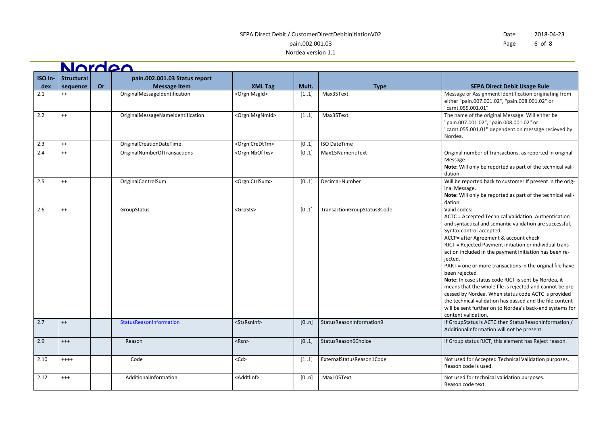#### SEPA Direct Debit / CustomerDirectDebitInitiationV02 pain.002.001.03

Nordea version 1.1

| Date | 2018-04-23 |  |  |
|------|------------|--|--|
| Page | 6 of 8     |  |  |

Nordeo **ISO In-Structural pain.002.001.03 Status report sequence Or Message Item XML Tag Mult. CONSIDER A Multer CONSIDER A REPA Direct Debit Usage Rule dex** 2.1 ++ OriginalMessageIdentification <OrgnlMsgId> [1..1] Max35Text Message or Assignment Identification originating from either "pain.007.001.02", "pain.008.001.02" or "camt.055.001.01" 2.2 ++ OriginalMessageNameIdentification <OrgnlMsgNmId> [1..1] Max35Text The name of the original Message. Will either be "pain.007.001.02", "pain.008.001.02" or "camt.055.001.01" dependent on message recieved by Nordea. 2.3 ++ OriginalCreationDateTime <OrgnlCreDtTm>  $\vert$  [0..1] ISO DateTime 2.4 + | | OriginalNumberOfTransactions | <OrgnlNbOfTxs> | [0..1] Max15NumericText | Original number of transactions, as reported in original Message **Note:** Will only be reported as part of the technical validation. 2.5 ++ CriginalControlSum <OrgnlCtrlSum>  $\bigcup_{i=1}^{\infty}$  Decimal-Number Will be reported back to customer If present in the original Message. **Note:** Will only be reported as part of the technical validation. 2.6 + | GroupStatus <GrpSts>  $\vert$  <GrpSts>  $\vert$  [0..1] TransactionGroupStatus3Code Valid codes: ACTC = Accepted Technical Validation. Authentication and syntactical and semantic validation are successful. Syntax control accepted. ACCP= after Agreement & account check RJCT = Rejected Payment initiation or individual transaction included in the payment initiation has been rejected. PART = one or more transactions in the orginal file have been rejected **Note:** In case status code RJCT is sent by Nordea, it means that the whole file is rejected and cannot be processed by Nordea. When status code ACTC is provided the technical validation has passed and the file content will be sent further on to Nordea's back-end systems for content validation. 2.7 ++ StatusReasonInformation <StsRsnInf> [0..n] StatusReasonInformation9 If GroupStatus is ACTC then StatusReasonInformation / AdditionalInformation will not be present. 2.9 +++ | Reason Reason <Rsn> |<Rsn> | [0..1] StatusReason6Choice | If Group status RJCT, this element has Reject reason. 2.10 ++++ Code <Cd> [1..1] ExternalStatusReason1Code Not used for Accepted Technical Validation purposes. Reason code is used. 2.12 +++ | AdditionalInformation | <AddtlInf> | [0..n] Max105Text | Max105Text | Not used for technical validation purposes. Reason code text.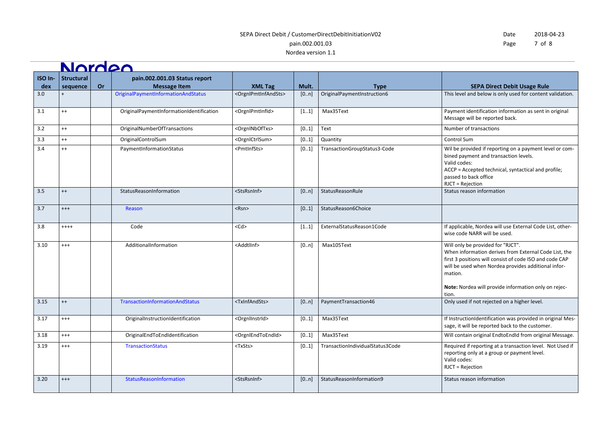### SEPA Direct Debit / CustomerDirectDebitInitiationV02 pain.002.001.03

#### Nordea version 1.1

**Northea** 

Date Page 2018-04-23 7 of 8

|                | <u>NAMAZA</u>                 |           |                                                      |                                         |       |                                  |                                                                                                                                                                                                                                                                                          |
|----------------|-------------------------------|-----------|------------------------------------------------------|-----------------------------------------|-------|----------------------------------|------------------------------------------------------------------------------------------------------------------------------------------------------------------------------------------------------------------------------------------------------------------------------------------|
| ISO In-<br>dex | <b>Structural</b><br>sequence | <b>Or</b> | pain.002.001.03 Status report<br><b>Message Item</b> | <b>XML Tag</b>                          | Mult. | <b>Type</b>                      | <b>SEPA Direct Debit Usage Rule</b>                                                                                                                                                                                                                                                      |
| 3.0            |                               |           | <b>OriginalPaymentInformationAndStatus</b>           | <orgnlpmtinfandsts></orgnlpmtinfandsts> | [0n]  | OriginalPaymentInstruction6      | This level and below is only used for content validation.                                                                                                                                                                                                                                |
| 3.1            | $^{++}$                       |           | OriginalPaymentInformationIdentification             | <orgnlpmtinfld></orgnlpmtinfld>         | [11]  | Max35Text                        | Payment identification information as sent in original<br>Message will be reported back.                                                                                                                                                                                                 |
| 3.2            | $^{++}$                       |           | OriginalNumberOfTransactions                         | <orgninboftxs></orgninboftxs>           | [01]  | Text                             | Number of transactions                                                                                                                                                                                                                                                                   |
| 3.3            | $^{++}$                       |           | OriginalControlSum                                   | <orgnlctrlsum></orgnlctrlsum>           | [01]  | Quantity                         | Control Sum                                                                                                                                                                                                                                                                              |
| 3.4            | $^{++}$                       |           | PaymentInformationStatus                             | <pmtinfsts></pmtinfsts>                 | [01]  | TransactionGroupStatus3-Code     | Wil be provided if reporting on a payment level or com-<br>bined payment and transaction levels.<br>Valid codes:<br>ACCP = Accepted technical, syntactical and profile;<br>passed to back office<br>RJCT = Rejection                                                                     |
| 3.5            | $^{++}$                       |           | StatusReasonInformation                              | <stsrsninf></stsrsninf>                 | [0n]  | StatusReasonRule                 | Status reason information                                                                                                                                                                                                                                                                |
| 3.7            | $^{+++}$                      |           | Reason                                               | $<$ Rsn $>$                             | [01]  | StatusReason6Choice              |                                                                                                                                                                                                                                                                                          |
| 3.8            | $+++++$                       |           | Code                                                 | $<$ Cd $>$                              | [11]  | ExternalStatusReason1Code        | If applicable, Nordea will use External Code List, other-<br>wise code NARR will be used.                                                                                                                                                                                                |
| 3.10           | $^{+++}$                      |           | AdditionalInformation                                | <addtllnf></addtllnf>                   | [0n]  | Max105Text                       | Will only be provided for "RJCT".<br>When information derives from External Code List, the<br>first 3 positions will consist of code ISO and code CAP<br>will be used when Nordea provides additional infor-<br>mation.<br>Note: Nordea will provide information only on rejec-<br>tion. |
| 3.15           | $^{++}$                       |           | TransactionInformationAndStatus                      | <txinfandsts></txinfandsts>             | [0n]  | PaymentTransaction46             | Only used if not rejected on a higher level.                                                                                                                                                                                                                                             |
| 3.17           | $^{+++}$                      |           | OriginalInstructionIdentification                    | <orgnlinstrid></orgnlinstrid>           | [01]  | Max35Text                        | If InstructionIdentification was provided in original Mes-<br>sage, it will be reported back to the customer.                                                                                                                                                                            |
| 3.18           | $^{+++}$                      |           | OriginalEndToEndIdentification                       | <orgnlendtoendid></orgnlendtoendid>     | [01]  | Max35Text                        | Will contain original EndtoEndId from original Message.                                                                                                                                                                                                                                  |
| 3.19           | $^{+++}$                      |           | <b>TransactionStatus</b>                             | <txsts></txsts>                         | [01]  | TransactionIndividualStatus3Code | Required if reporting at a transaction level. Not Used if<br>reporting only at a group or payment level.<br>Valid codes:<br>RJCT = Rejection                                                                                                                                             |
| 3.20           | $^{+++}$                      |           | StatusReasonInformation                              | <stsrsninf></stsrsninf>                 | [0n]  | StatusReasonInformation9         | Status reason information                                                                                                                                                                                                                                                                |